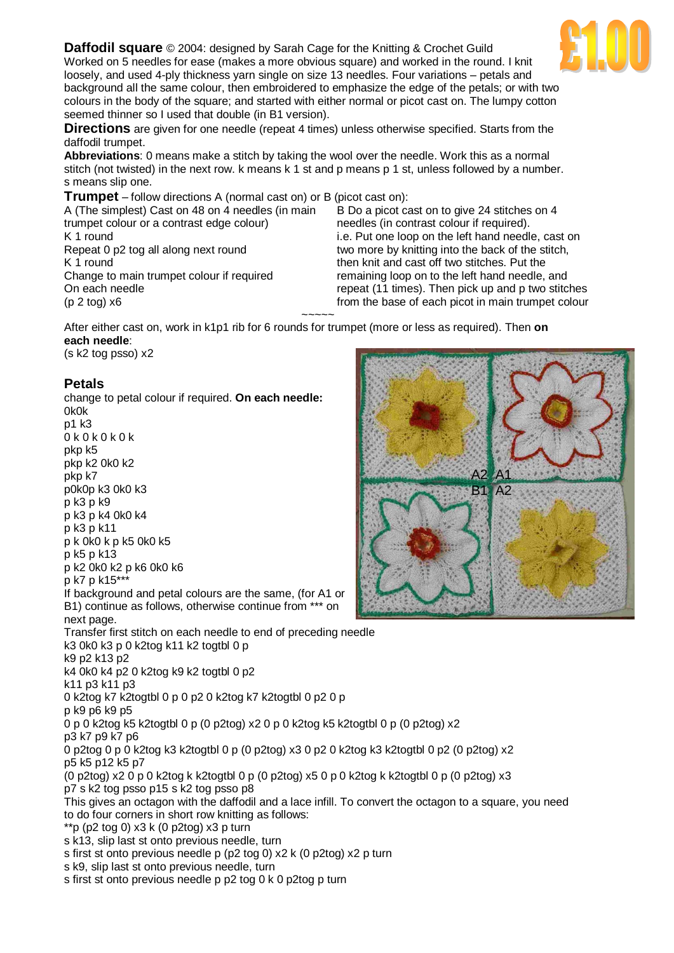**Daffodil square** © 2004: designed by Sarah Cage for the Knitting & Crochet Guild Worked on 5 needles for ease (makes a more obvious square) and worked in the round. I knit loosely, and used 4-ply thickness yarn single on size 13 needles. Four variations – petals and background all the same colour, then embroidered to emphasize the edge of the petals; or with two colours in the body of the square; and started with either normal or picot cast on. The lumpy cotton seemed thinner so I used that double (in B1 version).

**Directions** are given for one needle (repeat 4 times) unless otherwise specified. Starts from the daffodil trumpet.

**Abbreviations**: 0 means make a stitch by taking the wool over the needle. Work this as a normal stitch (not twisted) in the next row. k means k 1 st and p means p 1 st, unless followed by a number. s means slip one.

**Trumpet** – follow directions A (normal cast on) or B (picot cast on):

A (The simplest) Cast on 48 on 4 needles (in main trumpet colour or a contrast edge colour) K 1 round Repeat 0 p2 tog all along next round K 1 round Change to main trumpet colour if required On each needle (p 2 tog) x6

B Do a picot cast on to give 24 stitches on 4 needles (in contrast colour if required). i.e. Put one loop on the left hand needle, cast on two more by knitting into the back of the stitch, then knit and cast off two stitches. Put the remaining loop on to the left hand needle, and repeat (11 times). Then pick up and p two stitches from the base of each picot in main trumpet colour

After either cast on, work in k1p1 rib for 6 rounds for trumpet (more or less as required). Then **on each needle**: (s k2 tog psso) x2

~~~~~

**Petals**

change to petal colour if required. **On each needle:** 0k0k p1 k3 0 k 0 k 0 k 0 k pkp k5 pkp k2 0k0 k2 pkp k7 p0k0p k3 0k0 k3 p k3 p k9 p k3 p k4 0k0 k4 p k3 p k11  $p$  k 0k0 k p k5 0k0 k5 p k5 p k13 p k2 0k0 k2 p k6 0k0 k6 p k7 p k15\*\*\* If background and petal colours are the same, (for A1 or B1) continue as follows, otherwise continue from \*\*\* on next page. Transfer first stitch on each needle to end of preceding needle k3 0k0 k3 p 0 k2tog k11 k2 togtbl 0 p k9 p2 k13 p2 k4 0k0 k4 p2 0 k2tog k9 k2 togtbl 0 p2 k11 p3 k11 p3 0 k2tog k7 k2togtbl 0 p 0 p2 0 k2tog k7 k2togtbl 0 p2 0 p p k9 p6 k9 p5 0 p 0 k2tog k5 k2togtbl 0 p (0 p2tog) x2 0 p 0 k2tog k5 k2togtbl 0 p (0 p2tog) x2 p3 k7 p9 k7 p6 0 p2tog 0 p 0 k2tog k3 k2togtbl 0 p (0 p2tog) x3 0 p2 0 k2tog k3 k2togtbl 0 p2 (0 p2tog) x2 p5 k5 p12 k5 p7 (0 p2tog) x2 0 p 0 k2tog k k2togtbl 0 p (0 p2tog) x5 0 p 0 k2tog k k2togtbl 0 p (0 p2tog) x3 p7 s k2 tog psso p15 s k2 tog psso p8 This gives an octagon with the daffodil and a lace infill. To convert the octagon to a square, you need to do four corners in short row knitting as follows: \*\*p (p2 tog 0)  $x3 k$  (0 p2tog)  $x3 p$  turn s k13, slip last st onto previous needle, turn s first st onto previous needle p (p2 tog 0) x2 k (0 p2tog) x2 p turn s k9, slip last st onto previous needle, turn s first st onto previous needle p p2 tog 0 k 0 p2tog p turn